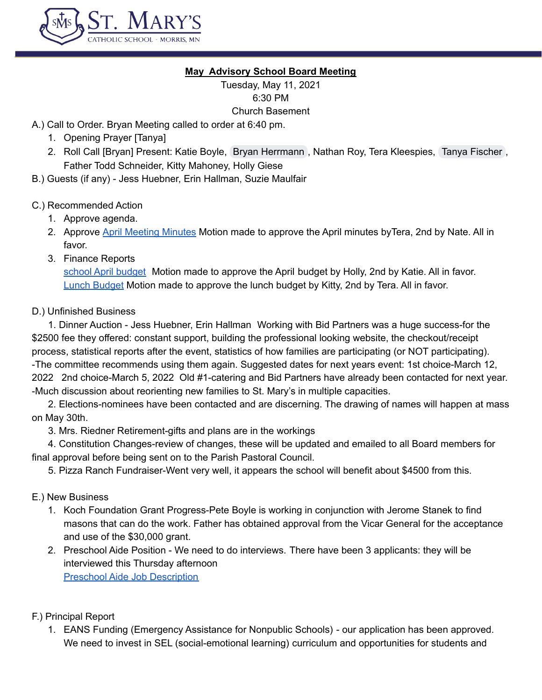

### **May Advisory School Board Meeting**

Tuesday, May 11, 2021 6:30 PM Church Basement

A.) Call to Order. Bryan Meeting called to order at 6:40 pm.

- 1. Opening Prayer [Tanya]
- 2. Roll Call [Bryan] Present: Katie Boyle, Bryan [Herrmann](mailto:herrmanb@morris.umn.edu), Nathan Roy, Tera Kleespies, Tanya [Fischer](mailto:fischer@stmarysmorris.com), Father Todd Schneider, Kitty Mahoney, Holly Giese
- B.) Guests (if any) Jess Huebner, Erin Hallman, Suzie Maulfair

### C.) Recommended Action

- 1. Approve agenda.
- 2. Approve April [Meeting](https://docs.google.com/document/d/1gyyEPEMf9H7te273CWaiIKoLBwZQz7-7-_6Rai8S16o/edit) Minutes Motion made to approve the April minutes by Tera, 2nd by Nate. All in favor.
- 3. Finance Reports

school April [budget](https://docs.google.com/spreadsheets/d/1VB4MSaVJv8LnjhdWL_R6GCankdxFkodb/edit#gid=1087416613) Motion made to approve the April budget by Holly, 2nd by Katie. All in favor. Lunch [Budget](https://docs.google.com/spreadsheets/d/1E-vxBd0NJOrIJVupTUNunDQnNKrEYgln/edit#gid=1707451091) Motion made to approve the lunch budget by Kitty, 2nd by Tera. All in favor.

### D.) Unfinished Business

1. Dinner Auction - Jess Huebner, Erin Hallman Working with Bid Partners was a huge success-for the \$2500 fee they offered: constant support, building the professional looking website, the checkout/receipt process, statistical reports after the event, statistics of how families are participating (or NOT participating). -The committee recommends using them again. Suggested dates for next years event: 1st choice-March 12, 2022 2nd choice-March 5, 2022 Old #1-catering and Bid Partners have already been contacted for next year. -Much discussion about reorienting new families to St. Mary's in multiple capacities.

2. Elections-nominees have been contacted and are discerning. The drawing of names will happen at mass on May 30th.

3. Mrs. Riedner Retirement-gifts and plans are in the workings

4. Constitution Changes-review of changes, these will be updated and emailed to all Board members for final approval before being sent on to the Parish Pastoral Council.

5. Pizza Ranch Fundraiser-Went very well, it appears the school will benefit about \$4500 from this.

# E.) New Business

- 1. Koch Foundation Grant Progress-Pete Boyle is working in conjunction with Jerome Stanek to find masons that can do the work. Father has obtained approval from the Vicar General for the acceptance and use of the \$30,000 grant.
- 2. Preschool Aide Position We need to do interviews. There have been 3 applicants: they will be interviewed this Thursday afternoon Preschool Aide Job [Description](https://docs.google.com/document/d/1E1OKOa34J5Ve_kdjT56rOl0tj66uOOeVaC55HfOOQUs/edit?pli=1)

# F.) Principal Report

1. EANS Funding (Emergency Assistance for Nonpublic Schools) - our application has been approved. We need to invest in SEL (social-emotional learning) curriculum and opportunities for students and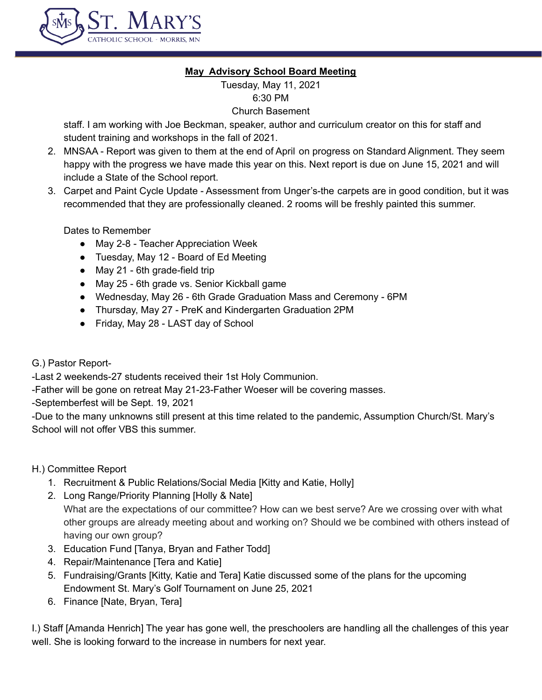

### **May Advisory School Board Meeting**

Tuesday, May 11, 2021 6:30 PM Church Basement

staff. I am working with Joe Beckman, speaker, author and curriculum creator on this for staff and student training and workshops in the fall of 2021.

- 2. MNSAA Report was given to them at the end of April on progress on Standard Alignment. They seem happy with the progress we have made this year on this. Next report is due on June 15, 2021 and will include a State of the School report.
- 3. Carpet and Paint Cycle Update Assessment from Unger's-the carpets are in good condition, but it was recommended that they are professionally cleaned. 2 rooms will be freshly painted this summer.

Dates to Remember

- May 2-8 Teacher Appreciation Week
- Tuesday, May 12 Board of Ed Meeting
- May 21 6th grade-field trip
- May 25 6th grade vs. Senior Kickball game
- Wednesday, May 26 6th Grade Graduation Mass and Ceremony 6PM
- Thursday, May 27 PreK and Kindergarten Graduation 2PM
- Friday, May 28 LAST day of School
- G.) Pastor Report-

-Last 2 weekends-27 students received their 1st Holy Communion.

-Father will be gone on retreat May 21-23-Father Woeser will be covering masses.

-Septemberfest will be Sept. 19, 2021

-Due to the many unknowns still present at this time related to the pandemic, Assumption Church/St. Mary's School will not offer VBS this summer.

# H.) Committee Report

- 1. Recruitment & Public Relations/Social Media [Kitty and Katie, Holly]
- 2. Long Range/Priority Planning [Holly & Nate] What are the expectations of our committee? How can we best serve? Are we crossing over with what other groups are already meeting about and working on? Should we be combined with others instead of having our own group?
- 3. Education Fund [Tanya, Bryan and Father Todd]
- 4. Repair/Maintenance [Tera and Katie]
- 5. Fundraising/Grants [Kitty, Katie and Tera] Katie discussed some of the plans for the upcoming Endowment St. Mary's Golf Tournament on June 25, 2021
- 6. Finance [Nate, Bryan, Tera]

I.) Staff [Amanda Henrich] The year has gone well, the preschoolers are handling all the challenges of this year well. She is looking forward to the increase in numbers for next year.